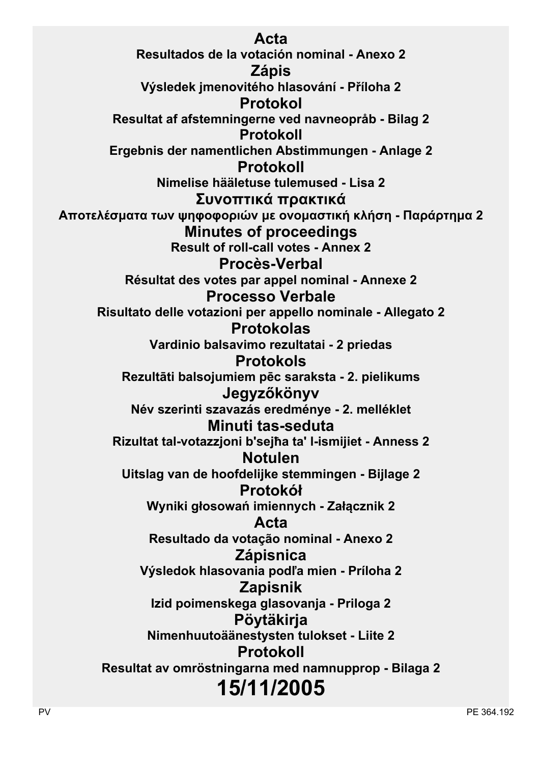**Acta Resultados de la votación nominal - Anexo 2 Zápis Výsledek jmenovitého hlasování - Příloha 2 Protokol Resultat af afstemningerne ved navneopråb - Bilag 2 Protokoll Ergebnis der namentlichen Abstimmungen - Anlage 2 Protokoll Nimelise hääletuse tulemused - Lisa 2 Συvoπτικά πρακτικά Απoτελέσματα τωv ψηφoφoριώv με ovoμαστική κλήση - Παράρτημα 2 Minutes of proceedings Result of roll-call votes - Annex 2 Procès-Verbal Résultat des votes par appel nominal - Annexe 2 Processo Verbale Risultato delle votazioni per appello nominale - Allegato 2 Protokolas Vardinio balsavimo rezultatai - 2 priedas Protokols Rezultāti balsojumiem pēc saraksta - 2. pielikums Jegyzőkönyv Név szerinti szavazás eredménye - 2. melléklet Minuti tas-seduta Rizultat tal-votazzjoni b'sejħa ta' l-ismijiet - Anness 2 Notulen Uitslag van de hoofdelijke stemmingen - Bijlage 2 Protokół Wyniki głosowań imiennych - Załącznik 2 Acta Resultado da votação nominal - Anexo 2 Zápisnica Výsledok hlasovania podľa mien - Príloha 2 Zapisnik Izid poimenskega glasovanja - Priloga 2 Pöytäkirja Nimenhuutoäänestysten tulokset - Liite 2 Protokoll Resultat av omröstningarna med namnupprop - Bilaga 2 15/11/2005**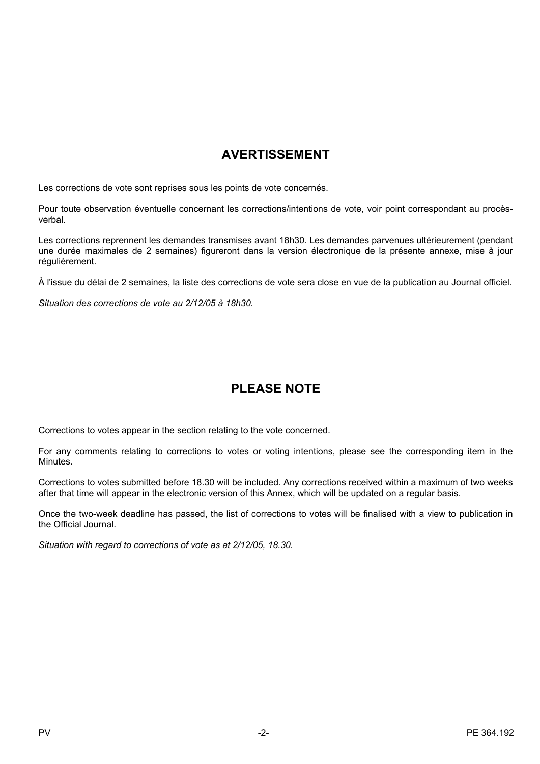# **AVERTISSEMENT**

Les corrections de vote sont reprises sous les points de vote concernés.

Pour toute observation éventuelle concernant les corrections/intentions de vote, voir point correspondant au procèsverbal.

Les corrections reprennent les demandes transmises avant 18h30. Les demandes parvenues ultérieurement (pendant une durée maximales de 2 semaines) figureront dans la version électronique de la présente annexe, mise à jour régulièrement.

À l'issue du délai de 2 semaines, la liste des corrections de vote sera close en vue de la publication au Journal officiel.

*Situation des corrections de vote au 2/12/05 à 18h30.*

# **PLEASE NOTE**

Corrections to votes appear in the section relating to the vote concerned.

For any comments relating to corrections to votes or voting intentions, please see the corresponding item in the Minutes.

Corrections to votes submitted before 18.30 will be included. Any corrections received within a maximum of two weeks after that time will appear in the electronic version of this Annex, which will be updated on a regular basis.

Once the two-week deadline has passed, the list of corrections to votes will be finalised with a view to publication in the Official Journal.

*Situation with regard to corrections of vote as at 2/12/05, 18.30.*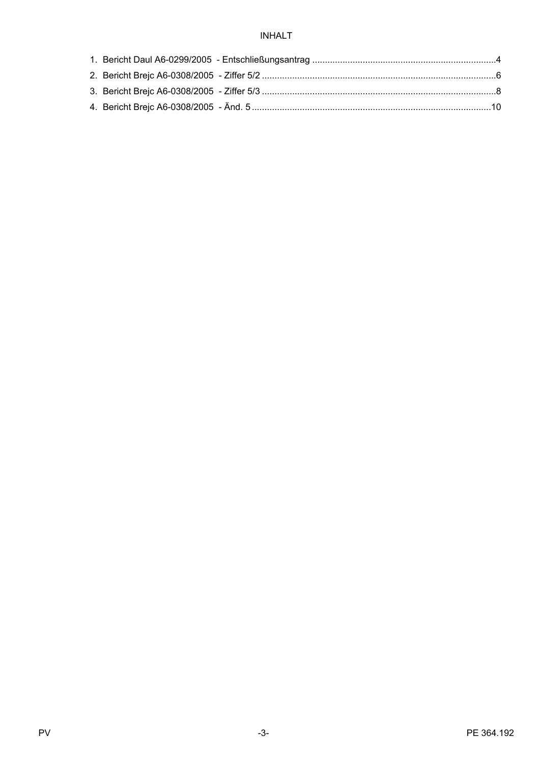## **INHALT**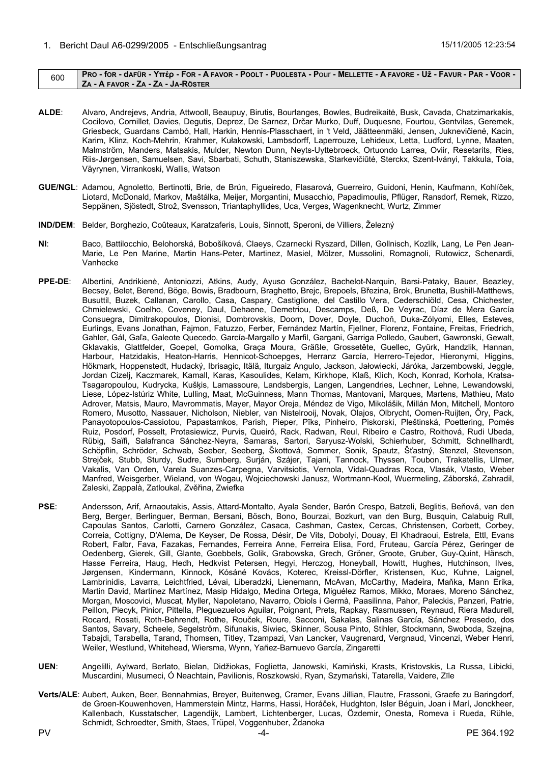## <span id="page-3-0"></span>600 PRO - for - dafür - Υπέρ - For - A FAVOR - POOLT - PUOLESTA - POUI - MELLETTE - A FAVORE - Už - FAVUR - PAR - VOOR -**ZA - A FAVOR - ZA - ZA - JA-RÖSTER**

- **ALDE**: Alvaro, Andrejevs, Andria, Attwooll, Beaupuy, Birutis, Bourlanges, Bowles, Budreikaitė, Busk, Cavada, Chatzimarkakis, Cocilovo, Cornillet, Davies, Degutis, Deprez, De Sarnez, Drčar Murko, Duff, Duquesne, Fourtou, Gentvilas, Geremek, Griesbeck, Guardans Cambó, Hall, Harkin, Hennis-Plasschaert, in 't Veld, Jäätteenmäki, Jensen, Juknevičienė, Kacin, Karim, Klinz, Koch-Mehrin, Krahmer, Kułakowski, Lambsdorff, Laperrouze, Lehideux, Letta, Ludford, Lynne, Maaten, Malmström, Manders, Matsakis, Mulder, Newton Dunn, Neyts-Uyttebroeck, Ortuondo Larrea, Oviir, Resetarits, Ries, Riis-Jørgensen, Samuelsen, Savi, Sbarbati, Schuth, Staniszewska, Starkevičiūtė, Sterckx, Szent-Iványi, Takkula, Toia, Väyrynen, Virrankoski, Wallis, Watson
- **GUE/NGL**: Adamou, Agnoletto, Bertinotti, Brie, de Brún, Figueiredo, Flasarová, Guerreiro, Guidoni, Henin, Kaufmann, Kohlíček, Liotard, McDonald, Markov, Maštálka, Meijer, Morgantini, Musacchio, Papadimoulis, Pflüger, Ransdorf, Remek, Rizzo, Seppänen, Sjöstedt, Strož, Svensson, Triantaphyllides, Uca, Verges, Wagenknecht, Wurtz, Zimmer
- **IND/DEM**: Belder, Borghezio, Coûteaux, Karatzaferis, Louis, Sinnott, Speroni, de Villiers, Železný
- **NI**: Baco, Battilocchio, Belohorská, Bobošíková, Claeys, Czarnecki Ryszard, Dillen, Gollnisch, Kozlík, Lang, Le Pen Jean-Marie, Le Pen Marine, Martin Hans-Peter, Martinez, Masiel, Mölzer, Mussolini, Romagnoli, Rutowicz, Schenardi, Vanhecke
- **PPE-DE**: Albertini, Andrikienė, Antoniozzi, Atkins, Audy, Ayuso González, Bachelot-Narquin, Barsi-Pataky, Bauer, Beazley, Becsey, Belet, Berend, Böge, Bowis, Bradbourn, Braghetto, Brejc, Brepoels, Březina, Brok, Brunetta, Bushill-Matthews, Busuttil, Buzek, Callanan, Carollo, Casa, Caspary, Castiglione, del Castillo Vera, Cederschiöld, Cesa, Chichester, Chmielewski, Coelho, Coveney, Daul, Dehaene, Demetriou, Descamps, Deß, De Veyrac, Díaz de Mera García Consuegra, Dimitrakopoulos, Dionisi, Dombrovskis, Doorn, Dover, Doyle, Duchoň, Duka-Zólyomi, Elles, Esteves, Eurlings, Evans Jonathan, Fajmon, Fatuzzo, Ferber, Fernández Martín, Fjellner, Florenz, Fontaine, Freitas, Friedrich, Gahler, Gál, Gaľa, Galeote Quecedo, García-Margallo y Marfil, Gargani, Garriga Polledo, Gaubert, Gawronski, Gewalt, Gklavakis, Glattfelder, Goepel, Gomolka, Graça Moura, Gräßle, Grossetête, Guellec, Gyürk, Handzlik, Hannan, Harbour, Hatzidakis, Heaton-Harris, Hennicot-Schoepges, Herranz García, Herrero-Tejedor, Hieronymi, Higgins, Hökmark, Hoppenstedt, Hudacký, Ibrisagic, Itälä, Iturgaiz Angulo, Jackson, Jałowiecki, Járóka, Jarzembowski, Jeggle, Jordan Cizelj, Kaczmarek, Kamall, Karas, Kasoulides, Kelam, Kirkhope, Klaß, Klich, Koch, Konrad, Korhola, Kratsa-Tsagaropoulou, Kudrycka, Kušķis, Lamassoure, Landsbergis, Langen, Langendries, Lechner, Lehne, Lewandowski, Liese, López-Istúriz White, Lulling, Maat, McGuinness, Mann Thomas, Mantovani, Marques, Martens, Mathieu, Mato Adrover, Matsis, Mauro, Mavrommatis, Mayer, Mayor Oreja, Méndez de Vigo, Mikolášik, Millán Mon, Mitchell, Montoro Romero, Musotto, Nassauer, Nicholson, Niebler, van Nistelrooij, Novak, Olajos, Olbrycht, Oomen-Ruijten, Őry, Pack, Panayotopoulos-Cassiotou, Papastamkos, Parish, Pieper, Pīks, Pinheiro, Piskorski, Pleštinská, Poettering, Pomés Ruiz, Posdorf, Posselt, Protasiewicz, Purvis, Queiró, Rack, Radwan, Reul, Ribeiro e Castro, Roithová, Rudi Ubeda, Rübig, Saïfi, Salafranca Sánchez-Neyra, Samaras, Sartori, Saryusz-Wolski, Schierhuber, Schmitt, Schnellhardt, Schöpflin, Schröder, Schwab, Seeber, Seeberg, Škottová, Sommer, Sonik, Spautz, Šťastný, Stenzel, Stevenson, Strejček, Stubb, Sturdy, Sudre, Sumberg, Surján, Szájer, Tajani, Tannock, Thyssen, Toubon, Trakatellis, Ulmer, Vakalis, Van Orden, Varela Suanzes-Carpegna, Varvitsiotis, Vernola, Vidal-Quadras Roca, Vlasák, Vlasto, Weber Manfred, Weisgerber, Wieland, von Wogau, Wojciechowski Janusz, Wortmann-Kool, Wuermeling, Záborská, Zahradil, Zaleski, Zappalà, Zatloukal, Zvěřina, Zwiefka
- **PSE:** Andersson, Arif, Arnaoutakis, Assis, Attard-Montalto, Ayala Sender, Barón Crespo, Batzeli, Beglitis, Beňová, van den Berg, Berger, Berlinguer, Berman, Bersani, Bösch, Bono, Bourzai, Bozkurt, van den Burg, Busquin, Calabuig Rull, Capoulas Santos, Carlotti, Carnero González, Casaca, Cashman, Castex, Cercas, Christensen, Corbett, Corbey, Correia, Cottigny, D'Alema, De Keyser, De Rossa, Désir, De Vits, Dobolyi, Douay, El Khadraoui, Estrela, Ettl, Evans Robert, Falbr, Fava, Fazakas, Fernandes, Ferreira Anne, Ferreira Elisa, Ford, Fruteau, García Pérez, Geringer de Oedenberg, Gierek, Gill, Glante, Goebbels, Golik, Grabowska, Grech, Gröner, Groote, Gruber, Guy-Quint, Hänsch, Hasse Ferreira, Haug, Hedh, Hedkvist Petersen, Hegyi, Herczog, Honeyball, Howitt, Hughes, Hutchinson, Ilves, Jørgensen, Kindermann, Kinnock, Kósáné Kovács, Koterec, Kreissl-Dörfler, Kristensen, Kuc, Kuhne, Laignel, Lambrinidis, Lavarra, Leichtfried, Lévai, Liberadzki, Lienemann, McAvan, McCarthy, Madeira, Maňka, Mann Erika, Martin David, Martínez Martínez, Masip Hidalgo, Medina Ortega, Miguélez Ramos, Mikko, Moraes, Moreno Sánchez, Morgan, Moscovici, Muscat, Myller, Napoletano, Navarro, Obiols i Germà, Paasilinna, Pahor, Paleckis, Panzeri, Patrie, Peillon, Piecyk, Pinior, Pittella, Pleguezuelos Aguilar, Poignant, Prets, Rapkay, Rasmussen, Reynaud, Riera Madurell, Rocard, Rosati, Roth-Behrendt, Rothe, Rouček, Roure, Sacconi, Sakalas, Salinas García, Sánchez Presedo, dos Santos, Savary, Scheele, Segelström, Sifunakis, Siwiec, Skinner, Sousa Pinto, Stihler, Stockmann, Swoboda, Szejna, Tabajdi, Tarabella, Tarand, Thomsen, Titley, Tzampazi, Van Lancker, Vaugrenard, Vergnaud, Vincenzi, Weber Henri, Weiler, Westlund, Whitehead, Wiersma, Wynn, Yañez-Barnuevo García, Zingaretti
- **UEN**: Angelilli, Aylward, Berlato, Bielan, Didžiokas, Foglietta, Janowski, Kamiński, Krasts, Kristovskis, La Russa, Libicki, Muscardini, Musumeci, Ó Neachtain, Pavilionis, Roszkowski, Ryan, Szymański, Tatarella, Vaidere, Zīle
- **Verts/ALE**: Aubert, Auken, Beer, Bennahmias, Breyer, Buitenweg, Cramer, Evans Jillian, Flautre, Frassoni, Graefe zu Baringdorf, de Groen-Kouwenhoven, Hammerstein Mintz, Harms, Hassi, Horáček, Hudghton, Isler Béguin, Joan i Marí, Jonckheer, Kallenbach, Kusstatscher, Lagendijk, Lambert, Lichtenberger, Lucas, Özdemir, Onesta, Romeva i Rueda, Rühle, Schmidt, Schroedter, Smith, Staes, Trüpel, Voggenhuber, Ždanoka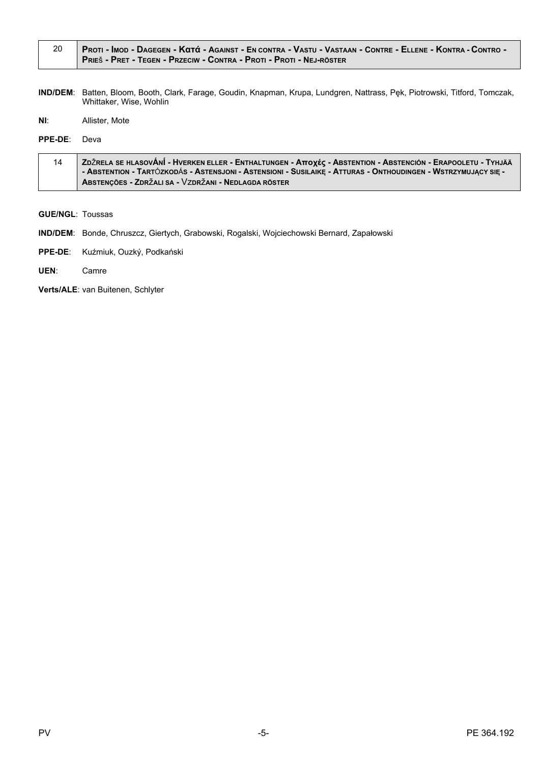| PROTI - IMOD - DAGEGEN - KATÁ - AGAINST - EN CONTRA - VASTU - VASTAAN - CONTRE - ELLENE - KONTRA - CONTRO - |
|-------------------------------------------------------------------------------------------------------------|
| PRIEŠ - PRET - TEGEN - PRZECIW - CONTRA - PROTI - PROTI - NEJ-RÖSTER                                        |

IND/DEM: Batten, Bloom, Booth, Clark, Farage, Goudin, Knapman, Krupa, Lundgren, Nattrass, Pęk, Piotrowski, Titford, Tomczak, Whittaker, Wise, Wohlin

 $NI:$ Allister, Mote

PPE-DE: Deva

| <b>A ZDŽRELA SE HLASOVÁNÍ - HVERKEN ELLER - ENTHALTUNGEN - Αποχές - ABSTENTION - ABSTENCIÓN - ERAPOOLETU - TYHJÄÄ</b><br>14 |                                                                                                                |
|-----------------------------------------------------------------------------------------------------------------------------|----------------------------------------------------------------------------------------------------------------|
|                                                                                                                             | - ABSTENTION - TARTÓZKODÁS - ASTENSJONI - ASTENSIONI - SUSILAIKĘ - ATTURAS - ONTHOUDINGEN - WSTRZYMUJĄCY SIĘ - |
|                                                                                                                             | ABSTENÇÕES - ZDRŽALI SA - VZDRŽANI - NEDLAGDA RÖSTER                                                           |

- **GUE/NGL: Toussas**
- IND/DEM: Bonde, Chruszcz, Giertych, Grabowski, Rogalski, Wojciechowski Bernard, Zapałowski
- PPE-DE: Kuźmiuk, Ouzký, Podkański
- UEN: Camre

Verts/ALE: van Buitenen, Schlyter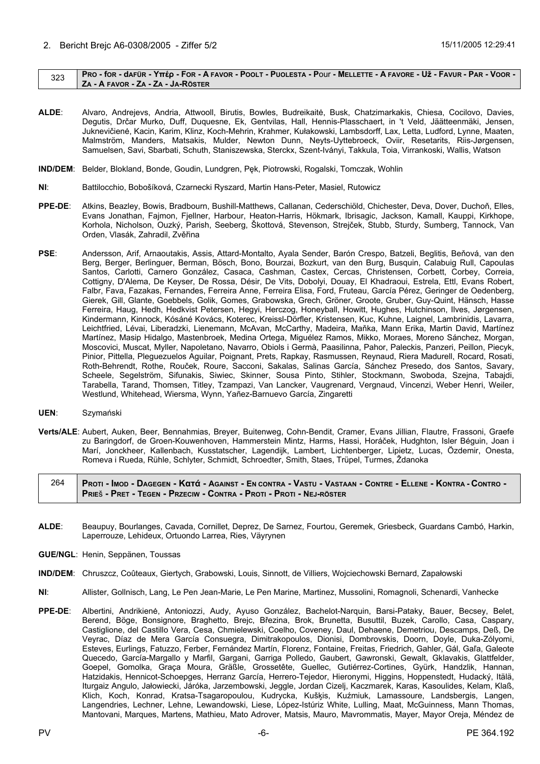## <span id="page-5-0"></span>323 PRO - for - dafür - Υπέρ - For - A FAVOR - POOLT - PUOLESTA - POUI - MELLETTE - A FAVORE - Už - FAVUR - PAR - VOOR -**ZA - A FAVOR - ZA - ZA - JA-RÖSTER**

- **ALDE**: Alvaro, Andrejevs, Andria, Attwooll, Birutis, Bowles, Budreikaitė, Busk, Chatzimarkakis, Chiesa, Cocilovo, Davies, Degutis, Drčar Murko, Duff, Duquesne, Ek, Gentvilas, Hall, Hennis-Plasschaert, in 't Veld, Jäätteenmäki, Jensen, Juknevičienė, Kacin, Karim, Klinz, Koch-Mehrin, Krahmer, Kułakowski, Lambsdorff, Lax, Letta, Ludford, Lynne, Maaten, Malmström, Manders, Matsakis, Mulder, Newton Dunn, Neyts-Uyttebroeck, Oviir, Resetarits, Riis-Jørgensen, Samuelsen, Savi, Sbarbati, Schuth, Staniszewska, Sterckx, Szent-Iványi, Takkula, Toia, Virrankoski, Wallis, Watson
- **IND/DEM**: Belder, Blokland, Bonde, Goudin, Lundgren, Pęk, Piotrowski, Rogalski, Tomczak, Wohlin
- **NI**: Battilocchio, Bobošíková, Czarnecki Ryszard, Martin Hans-Peter, Masiel, Rutowicz
- **PPE-DE**: Atkins, Beazley, Bowis, Bradbourn, Bushill-Matthews, Callanan, Cederschiöld, Chichester, Deva, Dover, Duchoň, Elles, Evans Jonathan, Fajmon, Fjellner, Harbour, Heaton-Harris, Hökmark, Ibrisagic, Jackson, Kamall, Kauppi, Kirkhope, Korhola, Nicholson, Ouzký, Parish, Seeberg, Škottová, Stevenson, Strejček, Stubb, Sturdy, Sumberg, Tannock, Van Orden, Vlasák, Zahradil, Zvěřina
- **PSE**: Andersson, Arif, Arnaoutakis, Assis, Attard-Montalto, Ayala Sender, Barón Crespo, Batzeli, Beglitis, Beňová, van den Berg, Berger, Berlinguer, Berman, Bösch, Bono, Bourzai, Bozkurt, van den Burg, Busquin, Calabuig Rull, Capoulas Santos, Carlotti, Carnero González, Casaca, Cashman, Castex, Cercas, Christensen, Corbett, Corbey, Correia, Cottigny, D'Alema, De Keyser, De Rossa, Désir, De Vits, Dobolyi, Douay, El Khadraoui, Estrela, Ettl, Evans Robert, Falbr, Fava, Fazakas, Fernandes, Ferreira Anne, Ferreira Elisa, Ford, Fruteau, García Pérez, Geringer de Oedenberg, Gierek, Gill, Glante, Goebbels, Golik, Gomes, Grabowska, Grech, Gröner, Groote, Gruber, Guy-Quint, Hänsch, Hasse Ferreira, Haug, Hedh, Hedkvist Petersen, Hegyi, Herczog, Honeyball, Howitt, Hughes, Hutchinson, Ilves, Jørgensen, Kindermann, Kinnock, Kósáné Kovács, Koterec, Kreissl-Dörfler, Kristensen, Kuc, Kuhne, Laignel, Lambrinidis, Lavarra, Leichtfried, Lévai, Liberadzki, Lienemann, McAvan, McCarthy, Madeira, Maňka, Mann Erika, Martin David, Martínez Martínez, Masip Hidalgo, Mastenbroek, Medina Ortega, Miguélez Ramos, Mikko, Moraes, Moreno Sánchez, Morgan, Moscovici, Muscat, Myller, Napoletano, Navarro, Obiols i Germà, Paasilinna, Pahor, Paleckis, Panzeri, Peillon, Piecyk, Pinior, Pittella, Pleguezuelos Aguilar, Poignant, Prets, Rapkay, Rasmussen, Reynaud, Riera Madurell, Rocard, Rosati, Roth-Behrendt, Rothe, Rouček, Roure, Sacconi, Sakalas, Salinas García, Sánchez Presedo, dos Santos, Savary, Scheele, Segelström, Sifunakis, Siwiec, Skinner, Sousa Pinto, Stihler, Stockmann, Swoboda, Szejna, Tabajdi, Tarabella, Tarand, Thomsen, Titley, Tzampazi, Van Lancker, Vaugrenard, Vergnaud, Vincenzi, Weber Henri, Weiler, Westlund, Whitehead, Wiersma, Wynn, Yañez-Barnuevo García, Zingaretti
- **UEN**: Szymański
- **Verts/ALE**: Aubert, Auken, Beer, Bennahmias, Breyer, Buitenweg, Cohn-Bendit, Cramer, Evans Jillian, Flautre, Frassoni, Graefe zu Baringdorf, de Groen-Kouwenhoven, Hammerstein Mintz, Harms, Hassi, Horáček, Hudghton, Isler Béguin, Joan i Marí, Jonckheer, Kallenbach, Kusstatscher, Lagendijk, Lambert, Lichtenberger, Lipietz, Lucas, Özdemir, Onesta, Romeva i Rueda, Rühle, Schlyter, Schmidt, Schroedter, Smith, Staes, Trüpel, Turmes, Ždanoka

264 PROTI - IMOD - DAGEGEN - KATÁ - AGAINST - EN CONTRA - VASTU - VASTAAN - CONTRE - ELLENE - KONTRA - CONTRO -**PRIE**š **- PRET - TEGEN - PRZECIW - CONTRA - PROTI - PROTI - NEJ-RÖSTER**

- **ALDE**: Beaupuy, Bourlanges, Cavada, Cornillet, Deprez, De Sarnez, Fourtou, Geremek, Griesbeck, Guardans Cambó, Harkin, Laperrouze, Lehideux, Ortuondo Larrea, Ries, Väyrynen
- **GUE/NGL**: Henin, Seppänen, Toussas
- **IND/DEM**: Chruszcz, Coûteaux, Giertych, Grabowski, Louis, Sinnott, de Villiers, Wojciechowski Bernard, Zapałowski
- **NI**: Allister, Gollnisch, Lang, Le Pen Jean-Marie, Le Pen Marine, Martinez, Mussolini, Romagnoli, Schenardi, Vanhecke
- **PPE-DE**: Albertini, Andrikienė, Antoniozzi, Audy, Ayuso González, Bachelot-Narquin, Barsi-Pataky, Bauer, Becsey, Belet, Berend, Böge, Bonsignore, Braghetto, Brejc, Březina, Brok, Brunetta, Busuttil, Buzek, Carollo, Casa, Caspary, Castiglione, del Castillo Vera, Cesa, Chmielewski, Coelho, Coveney, Daul, Dehaene, Demetriou, Descamps, Deß, De Veyrac, Díaz de Mera García Consuegra, Dimitrakopoulos, Dionisi, Dombrovskis, Doorn, Doyle, Duka-Zólyomi, Esteves, Eurlings, Fatuzzo, Ferber, Fernández Martín, Florenz, Fontaine, Freitas, Friedrich, Gahler, Gál, Gaľa, Galeote Quecedo, García-Margallo y Marfil, Gargani, Garriga Polledo, Gaubert, Gawronski, Gewalt, Gklavakis, Glattfelder, Goepel, Gomolka, Graça Moura, Gräßle, Grossetête, Guellec, Gutiérrez-Cortines, Gyürk, Handzlik, Hannan, Hatzidakis, Hennicot-Schoepges, Herranz García, Herrero-Tejedor, Hieronymi, Higgins, Hoppenstedt, Hudacký, Itälä, Iturgaiz Angulo, Jałowiecki, Járóka, Jarzembowski, Jeggle, Jordan Cizelj, Kaczmarek, Karas, Kasoulides, Kelam, Klaß, Klich, Koch, Konrad, Kratsa-Tsagaropoulou, Kudrycka, Kušķis, Kuźmiuk, Lamassoure, Landsbergis, Langen, Langendries, Lechner, Lehne, Lewandowski, Liese, López-Istúriz White, Lulling, Maat, McGuinness, Mann Thomas, Mantovani, Marques, Martens, Mathieu, Mato Adrover, Matsis, Mauro, Mavrommatis, Mayer, Mayor Oreja, Méndez de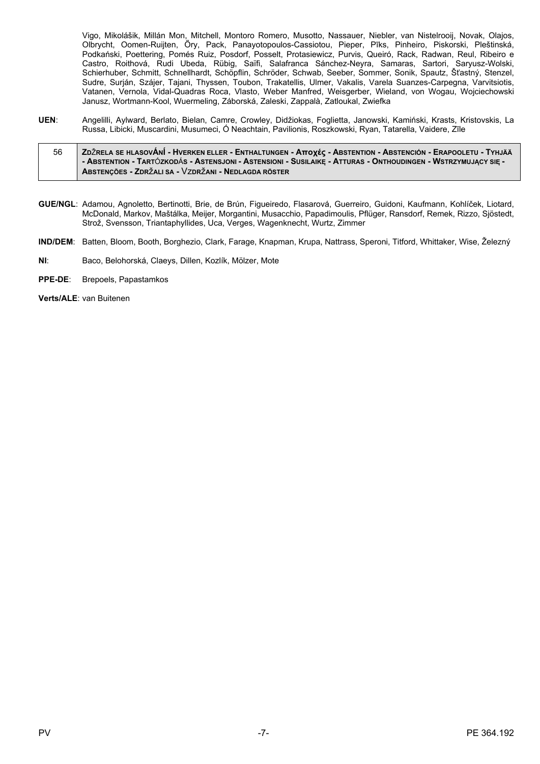Vigo, Mikolášik, Millán Mon, Mitchell, Montoro Romero, Musotto, Nassauer, Niebler, van Nistelrooij, Novak, Olajos, Olbrycht, Oomen-Ruijten, Őry, Pack, Panayotopoulos-Cassiotou, Pieper, Pīks, Pinheiro, Piskorski, Pleštinská, Podkański, Poettering, Pomés Ruiz, Posdorf, Posselt, Protasiewicz, Purvis, Queiró, Rack, Radwan, Reul, Ribeiro e Castro, Roithová, Rudi Ubeda, Rübig, Saïfi, Salafranca Sánchez-Neyra, Samaras, Sartori, Saryusz-Wolski, Schierhuber, Schmitt, Schnellhardt, Schöpflin, Schröder, Schwab, Seeber, Sommer, Sonik, Spautz, Šťastný, Stenzel, Sudre, Surján, Szájer, Tajani, Thyssen, Toubon, Trakatellis, Ulmer, Vakalis, Varela Suanzes-Carpegna, Varvitsiotis,<br>Vatanen, Vernola, Vidal-Quadras Roca, Vlasto, Weber Manfred, Weisgerber, Wieland, von Wogau, Wojciechowski Janusz, Wortmann-Kool, Wuermeling, Záborská, Zaleski, Zappalà, Zatloukal, Zwiefka

UEN: Angelilli, Avlward, Berlato, Bielan, Camre, Crowley, Didžiokas, Foglietta, Janowski, Kamiński, Krasts, Kristovskis, La Russa, Libicki, Muscardini, Musumeci, Ó Neachtain, Pavilionis, Roszkowski, Ryan, Tatarella, Vaidere, Zīle

#### 56 ZDŽRELA SE HLASOVÁNÍ - HVERKEN ELLER - ENTHALTUNGEN - ATTOXÉC - ABSTENTION - ABSTENCIÓN - ERAPOOLETU - TYHJÄÄ - ABSTENTION - TARTÓZKODÁS - ASTENSJONI - ASTENSIONI - SUSILAIKĘ - ATTURAS - ONTHOUDINGEN - WSTRZYMUJĄCY SIĘ -ABSTENÇÕES - ZDRŽALI SA - VZDRŽANI - NEDLAGDA RÖSTER

- GUE/NGL; Adamou, Agnoletto, Bertinotti, Brie, de Brún, Figueiredo, Flasarová, Guerreiro, Guidoni, Kaufmann, Kohlíček, Liotard, McDonald, Markov, Maštálka, Meijer, Morgantini, Musacchio, Papadimoulis, Pflüger, Ransdorf, Remek, Rizzo, Sjöstedt, Strož, Svensson, Triantaphyllides, Uca, Verges, Wagenknecht, Wurtz, Zimmer
- IND/DEM: Batten, Bloom, Booth, Borghezio, Clark, Farage, Knapman, Krupa, Nattrass, Speroni, Titford, Whittaker, Wise, Železný
- $NI:$ Baco, Belohorská, Claeys, Dillen, Kozlík, Mölzer, Mote
- PPE-DE: Brepoels, Papastamkos

Verts/ALE: van Buitenen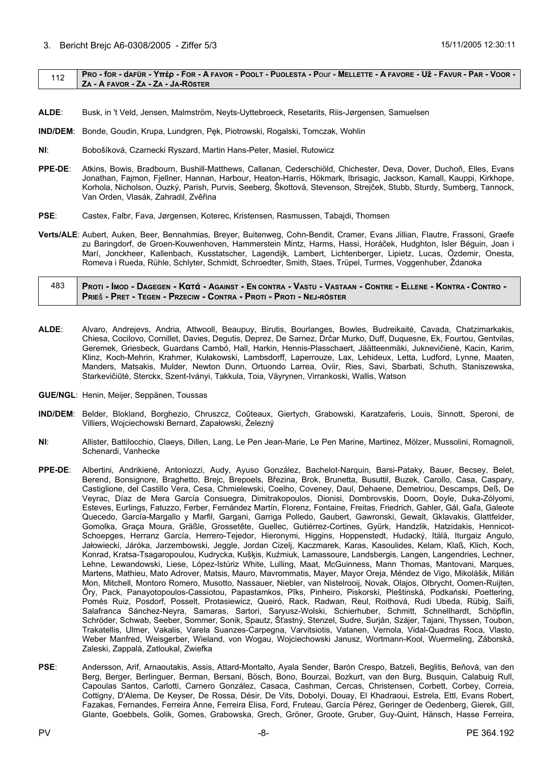### <span id="page-7-0"></span>112 PRO - for - dafür - Υπέρ - For - A FAVOR - POOLT - PUOLESTA - POUI - MELLETTE - A FAVORE - Už - FAVUR - PAR - VOOR -**ZA - A FAVOR - ZA - ZA - JA-RÖSTER**

- **ALDE**: Busk, in 't Veld, Jensen, Malmström, Neyts-Uyttebroeck, Resetarits, Riis-Jørgensen, Samuelsen
- **IND/DEM**: Bonde, Goudin, Krupa, Lundgren, Pęk, Piotrowski, Rogalski, Tomczak, Wohlin
- **NI**: Bobošíková, Czarnecki Ryszard, Martin Hans-Peter, Masiel, Rutowicz
- **PPE-DE**: Atkins, Bowis, Bradbourn, Bushill-Matthews, Callanan, Cederschiöld, Chichester, Deva, Dover, Duchoň, Elles, Evans Jonathan, Fajmon, Fjellner, Hannan, Harbour, Heaton-Harris, Hökmark, Ibrisagic, Jackson, Kamall, Kauppi, Kirkhope, Korhola, Nicholson, Ouzký, Parish, Purvis, Seeberg, Škottová, Stevenson, Strejček, Stubb, Sturdy, Sumberg, Tannock, Van Orden, Vlasák, Zahradil, Zvěřina
- **PSE**: Castex, Falbr, Fava, Jørgensen, Koterec, Kristensen, Rasmussen, Tabajdi, Thomsen
- **Verts/ALE**: Aubert, Auken, Beer, Bennahmias, Breyer, Buitenweg, Cohn-Bendit, Cramer, Evans Jillian, Flautre, Frassoni, Graefe zu Baringdorf, de Groen-Kouwenhoven, Hammerstein Mintz, Harms, Hassi, Horáček, Hudghton, Isler Béguin, Joan i Marí, Jonckheer, Kallenbach, Kusstatscher, Lagendijk, Lambert, Lichtenberger, Lipietz, Lucas, Özdemir, Onesta, Romeva i Rueda, Rühle, Schlyter, Schmidt, Schroedter, Smith, Staes, Trüpel, Turmes, Voggenhuber, Ždanoka

## 483 PROTI - IMOD - DAGEGEN - KATÁ - AGAINST - EN CONTRA - VASTU - VASTAAN - CONTRE - ELLENE - KONTRA - CONTRO -**PRIE**š **- PRET - TEGEN - PRZECIW - CONTRA - PROTI - PROTI - NEJ-RÖSTER**

- **ALDE**: Alvaro, Andrejevs, Andria, Attwooll, Beaupuy, Birutis, Bourlanges, Bowles, Budreikaitė, Cavada, Chatzimarkakis, Chiesa, Cocilovo, Cornillet, Davies, Degutis, Deprez, De Sarnez, Drčar Murko, Duff, Duquesne, Ek, Fourtou, Gentvilas, Geremek, Griesbeck, Guardans Cambó, Hall, Harkin, Hennis-Plasschaert, Jäätteenmäki, Juknevičienė, Kacin, Karim, Klinz, Koch-Mehrin, Krahmer, Kułakowski, Lambsdorff, Laperrouze, Lax, Lehideux, Letta, Ludford, Lynne, Maaten, Manders, Matsakis, Mulder, Newton Dunn, Ortuondo Larrea, Oviir, Ries, Savi, Sbarbati, Schuth, Staniszewska, Starkevičiūtė, Sterckx, Szent-Iványi, Takkula, Toia, Väyrynen, Virrankoski, Wallis, Watson
- **GUE/NGL**: Henin, Meijer, Seppänen, Toussas
- **IND/DEM**: Belder, Blokland, Borghezio, Chruszcz, Coûteaux, Giertych, Grabowski, Karatzaferis, Louis, Sinnott, Speroni, de Villiers, Wojciechowski Bernard, Zapałowski, Železný
- **NI**: Allister, Battilocchio, Claeys, Dillen, Lang, Le Pen Jean-Marie, Le Pen Marine, Martinez, Mölzer, Mussolini, Romagnoli, Schenardi, Vanhecke
- **PPE-DE**: Albertini, Andrikienė, Antoniozzi, Audy, Ayuso González, Bachelot-Narquin, Barsi-Pataky, Bauer, Becsey, Belet, Berend, Bonsignore, Braghetto, Brejc, Brepoels, Březina, Brok, Brunetta, Busuttil, Buzek, Carollo, Casa, Caspary, Castiglione, del Castillo Vera, Cesa, Chmielewski, Coelho, Coveney, Daul, Dehaene, Demetriou, Descamps, Deß, De Veyrac, Díaz de Mera García Consuegra, Dimitrakopoulos, Dionisi, Dombrovskis, Doorn, Doyle, Duka-Zólyomi, Esteves, Eurlings, Fatuzzo, Ferber, Fernández Martín, Florenz, Fontaine, Freitas, Friedrich, Gahler, Gál, Gaľa, Galeote Quecedo, García-Margallo y Marfil, Gargani, Garriga Polledo, Gaubert, Gawronski, Gewalt, Gklavakis, Glattfelder, Gomolka, Graça Moura, Gräßle, Grossetête, Guellec, Gutiérrez-Cortines, Gyürk, Handzlik, Hatzidakis, Hennicot-Schoepges, Herranz García, Herrero-Tejedor, Hieronymi, Higgins, Hoppenstedt, Hudacký, Itälä, Iturgaiz Angulo, Jałowiecki, Járóka, Jarzembowski, Jeggle, Jordan Cizelj, Kaczmarek, Karas, Kasoulides, Kelam, Klaß, Klich, Koch, Konrad, Kratsa-Tsagaropoulou, Kudrycka, Kušķis, Kuźmiuk, Lamassoure, Landsbergis, Langen, Langendries, Lechner, Lehne, Lewandowski, Liese, López-Istúriz White, Lulling, Maat, McGuinness, Mann Thomas, Mantovani, Marques, Martens, Mathieu, Mato Adrover, Matsis, Mauro, Mavrommatis, Mayer, Mayor Oreja, Méndez de Vigo, Mikolášik, Millán Mon, Mitchell, Montoro Romero, Musotto, Nassauer, Niebler, van Nistelrooij, Novak, Olajos, Olbrycht, Oomen-Ruijten, Őry, Pack, Panayotopoulos-Cassiotou, Papastamkos, Pīks, Pinheiro, Piskorski, Pleštinská, Podkański, Poettering, Pomés Ruiz, Posdorf, Posselt, Protasiewicz, Queiró, Rack, Radwan, Reul, Roithová, Rudi Ubeda, Rübig, Saïfi, Salafranca Sánchez-Neyra, Samaras, Sartori, Saryusz-Wolski, Schierhuber, Schmitt, Schnellhardt, Schöpflin, Schröder, Schwab, Seeber, Sommer, Sonik, Spautz, Šťastný, Stenzel, Sudre, Surján, Szájer, Tajani, Thyssen, Toubon, Trakatellis, Ulmer, Vakalis, Varela Suanzes-Carpegna, Varvitsiotis, Vatanen, Vernola, Vidal-Quadras Roca, Vlasto, Weber Manfred, Weisgerber, Wieland, von Wogau, Wojciechowski Janusz, Wortmann-Kool, Wuermeling, Záborská, Zaleski, Zappalà, Zatloukal, Zwiefka
- **PSE**: Andersson, Arif, Arnaoutakis, Assis, Attard-Montalto, Ayala Sender, Barón Crespo, Batzeli, Beglitis, Beňová, van den Berg, Berger, Berlinguer, Berman, Bersani, Bösch, Bono, Bourzai, Bozkurt, van den Burg, Busquin, Calabuig Rull, Capoulas Santos, Carlotti, Carnero González, Casaca, Cashman, Cercas, Christensen, Corbett, Corbey, Correia, Cottigny, D'Alema, De Keyser, De Rossa, Désir, De Vits, Dobolyi, Douay, El Khadraoui, Estrela, Ettl, Evans Robert, Fazakas, Fernandes, Ferreira Anne, Ferreira Elisa, Ford, Fruteau, García Pérez, Geringer de Oedenberg, Gierek, Gill, Glante, Goebbels, Golik, Gomes, Grabowska, Grech, Gröner, Groote, Gruber, Guy-Quint, Hänsch, Hasse Ferreira,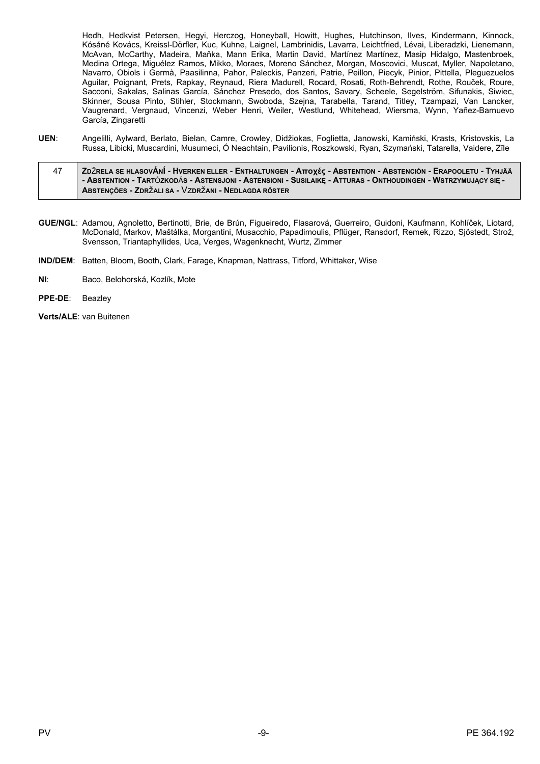Hedh, Hedkvist Petersen, Hegyi, Herczog, Honeyball, Howitt, Hughes, Hutchinson, Ilves, Kindermann, Kinnock, Kósáné Kovács, Kreissl-Dörfler, Kuc, Kuhne, Laignel, Lambrinidis, Lavarra, Leichtfried, Lévai, Liberadzki, Lienemann, McAvan, McCarthy, Madeira, Maňka, Mann Erika, Martin David, Martínez Martínez, Masip Hidalgo, Mastenbroek, Medina Ortega, Miguélez Ramos, Mikko, Moraes, Moreno Sánchez, Morgan, Moscovici, Muscat, Myller, Napoletano, Navarro, Obiols i Germà, Paasilinna, Pahor, Paleckis, Panzeri, Patrie, Peillon, Piecyk, Pinior, Pittella, Pleguezuelos Aguilar, Poignant, Prets, Rapkay, Reynaud, Riera Madurell, Rocard, Rosati, Roth-Behrendt, Rothe, Rouček, Roure, Sacconi, Sakalas, Salinas García, Sánchez Presedo, dos Santos, Savary, Scheele, Segelström, Sifunakis, Siwiec,<br>Skinner, Sousa Pinto, Stihler, Stockmann, Swoboda, Szejna, Tarabella, Tarand, Titley, Tzampazi, Van Lancker, Vaugrenard, Vergnaud, Vincenzi, Weber Henri, Weiler, Westlund, Whitehead, Wiersma, Wynn, Yañez-Barnuevo García, Zingaretti

- UEN: Angelilli, Aylward, Berlato, Bielan, Camre, Crowley, Didžiokas, Foglietta, Janowski, Kamiński, Krasts, Kristovskis, La Russa, Libicki, Muscardini, Musumeci, Ó Neachtain, Pavilionis, Roszkowski, Ryan, Szymański, Tatarella, Vaidere, Zīle
- ΖDŽRELA SE HLASOVÁNÍ HVERKEN ELLER ENTHALTUNGEN Αποχές ABSTENTION ABSTENCIÓN ERAPOOLETU TYHJÄÄ 47 - ABSTENTION - TARTÓZKODÁS - ASTENSJONI - ASTENSIONI - SUSILAIKĘ - ATTURAS - ONTHOUDINGEN - WSTRZYMUJĄCY SIĘ -ABSTENÇÕES - ZDRŽALI SA - VZDRŽANI - NEDLAGDA RÖSTER
- GUE/NGL: Adamou, Agnoletto, Bertinotti, Brie, de Brún, Figueiredo, Flasarová, Guerreiro, Guidoni, Kaufmann, Kohlíček, Liotard, McDonald, Markov, Maštálka, Morgantini, Musacchio, Papadimoulis, Pflüger, Ransdorf, Remek, Rizzo, Sjöstedt, Strož, Svensson, Triantaphyllides, Uca, Verges, Wagenknecht, Wurtz, Zimmer
- IND/DEM: Batten, Bloom, Booth, Clark, Farage, Knapman, Nattrass, Titford, Whittaker, Wise
- $NI:$ Baco, Belohorská, Kozlík, Mote
- PPE-DE: Beazley
- Verts/ALE: van Buitenen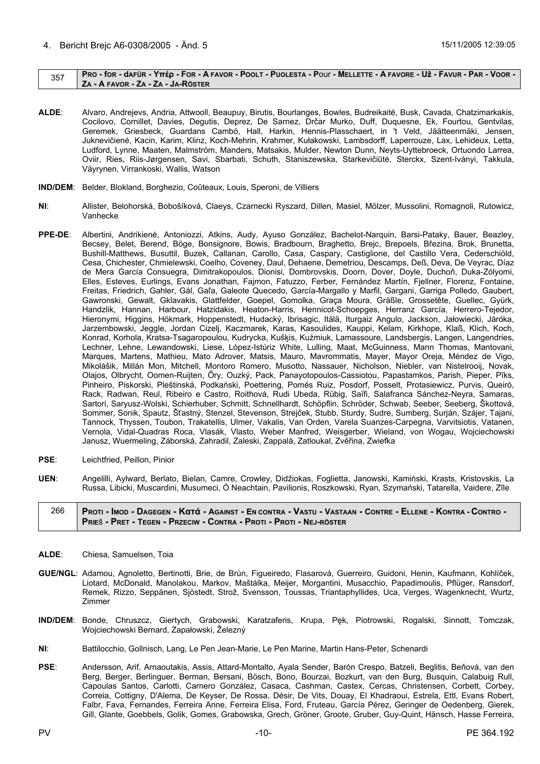## <span id="page-9-0"></span>357 PRO - for - dafür - Υπέρ - For - A FAVOR - POOLT - PUOLESTA - Pour - MELLETTE - A FAVORE - Už - FAVUR - PAR - VOOR -**ZA - A FAVOR - ZA - ZA - JA-RÖSTER**

- **ALDE**: Alvaro, Andrejevs, Andria, Attwooll, Beaupuy, Birutis, Bourlanges, Bowles, Budreikaitė, Busk, Cavada, Chatzimarkakis, Cocilovo, Cornillet, Davies, Degutis, Deprez, De Sarnez, Drčar Murko, Duff, Duquesne, Ek, Fourtou, Gentvilas, Geremek, Griesbeck, Guardans Cambó, Hall, Harkin, Hennis-Plasschaert, in 't Veld, Jäätteenmäki, Jensen, Juknevičienė, Kacin, Karim, Klinz, Koch-Mehrin, Krahmer, Kułakowski, Lambsdorff, Laperrouze, Lax, Lehideux, Letta, Ludford, Lynne, Maaten, Malmström, Manders, Matsakis, Mulder, Newton Dunn, Neyts-Uyttebroeck, Ortuondo Larrea, Oviir, Ries, Riis-Jørgensen, Savi, Sbarbati, Schuth, Staniszewska, Starkevičiūtė, Sterckx, Szent-Iványi, Takkula, Väyrynen, Virrankoski, Wallis, Watson
- **IND/DEM**: Belder, Blokland, Borghezio, Coûteaux, Louis, Speroni, de Villiers
- **NI**: Allister, Belohorská, Bobošíková, Claeys, Czarnecki Ryszard, Dillen, Masiel, Mölzer, Mussolini, Romagnoli, Rutowicz, Vanhecke
- **PPE-DE**: Albertini, Andrikienė, Antoniozzi, Atkins, Audy, Ayuso González, Bachelot-Narquin, Barsi-Pataky, Bauer, Beazley, Becsey, Belet, Berend, Böge, Bonsignore, Bowis, Bradbourn, Braghetto, Brejc, Brepoels, Březina, Brok, Brunetta, Bushill-Matthews, Busuttil, Buzek, Callanan, Carollo, Casa, Caspary, Castiglione, del Castillo Vera, Cederschiöld, Cesa, Chichester, Chmielewski, Coelho, Coveney, Daul, Dehaene, Demetriou, Descamps, Deß, Deva, De Veyrac, Díaz de Mera García Consuegra, Dimitrakopoulos, Dionisi, Dombrovskis, Doorn, Dover, Doyle, Duchoň, Duka-Zólyomi, Elles, Esteves, Eurlings, Evans Jonathan, Fajmon, Fatuzzo, Ferber, Fernández Martín, Fjellner, Florenz, Fontaine, Freitas, Friedrich, Gahler, Gál, Gaľa, Galeote Quecedo, García-Margallo y Marfil, Gargani, Garriga Polledo, Gaubert, Gawronski, Gewalt, Gklavakis, Glattfelder, Goepel, Gomolka, Graça Moura, Gräßle, Grossetête, Guellec, Gyürk, Handzlik, Hannan, Harbour, Hatzidakis, Heaton-Harris, Hennicot-Schoepges, Herranz García, Herrero-Tejedor, Hieronymi, Higgins, Hökmark, Hoppenstedt, Hudacký, Ibrisagic, Itälä, Iturgaiz Angulo, Jackson, Jałowiecki, Járóka, Jarzembowski, Jeggle, Jordan Cizelj, Kaczmarek, Karas, Kasoulides, Kauppi, Kelam, Kirkhope, Klaß, Klich, Koch, Konrad, Korhola, Kratsa-Tsagaropoulou, Kudrycka, Kušķis, Kuźmiuk, Lamassoure, Landsbergis, Langen, Langendries, Lechner, Lehne, Lewandowski, Liese, López-Istúriz White, Lulling, Maat, McGuinness, Mann Thomas, Mantovani, Marques, Martens, Mathieu, Mato Adrover, Matsis, Mauro, Mavrommatis, Mayer, Mayor Oreja, Méndez de Vigo, Mikolášik, Millán Mon, Mitchell, Montoro Romero, Musotto, Nassauer, Nicholson, Niebler, van Nistelrooij, Novak, Olajos, Olbrycht, Oomen-Ruijten, Őry, Ouzký, Pack, Panayotopoulos-Cassiotou, Papastamkos, Parish, Pieper, Pīks, Pinheiro, Piskorski, Pleštinská, Podkański, Poettering, Pomés Ruiz, Posdorf, Posselt, Protasiewicz, Purvis, Queiró, Rack, Radwan, Reul, Ribeiro e Castro, Roithová, Rudi Ubeda, Rübig, Saïfi, Salafranca Sánchez-Neyra, Samaras, Sartori, Saryusz-Wolski, Schierhuber, Schmitt, Schnellhardt, Schöpflin, Schröder, Schwab, Seeber, Seeberg, Škottová, Sommer, Sonik, Spautz, Šťastný, Stenzel, Stevenson, Strejček, Stubb, Sturdy, Sudre, Sumberg, Surján, Szájer, Tajani, Tannock, Thyssen, Toubon, Trakatellis, Ulmer, Vakalis, Van Orden, Varela Suanzes-Carpegna, Varvitsiotis, Vatanen, Vernola, Vidal-Quadras Roca, Vlasák, Vlasto, Weber Manfred, Weisgerber, Wieland, von Wogau, Wojciechowski Janusz, Wuermeling, Záborská, Zahradil, Zaleski, Zappalà, Zatloukal, Zvěřina, Zwiefka
- **PSE**: Leichtfried, Peillon, Pinior
- **UEN**: Angelilli, Aylward, Berlato, Bielan, Camre, Crowley, Didžiokas, Foglietta, Janowski, Kamiński, Krasts, Kristovskis, La Russa, Libicki, Muscardini, Musumeci, Ó Neachtain, Pavilionis, Roszkowski, Ryan, Szymański, Tatarella, Vaidere, Zīle

## 266 PROTI - IMOD - DAGEGEN - KATÁ - AGAINST - EN CONTRA - VASTU - VASTAAN - CONTRE - ELLENE - KONTRA - CONTRO -**PRIE**š **- PRET - TEGEN - PRZECIW - CONTRA - PROTI - PROTI - NEJ-RÖSTER**

- **ALDE**: Chiesa, Samuelsen, Toia
- **GUE/NGL**: Adamou, Agnoletto, Bertinotti, Brie, de Brún, Figueiredo, Flasarová, Guerreiro, Guidoni, Henin, Kaufmann, Kohlíček, Liotard, McDonald, Manolakou, Markov, Maštálka, Meijer, Morgantini, Musacchio, Papadimoulis, Pflüger, Ransdorf, Remek, Rizzo, Seppänen, Sjöstedt, Strož, Svensson, Toussas, Triantaphyllides, Uca, Verges, Wagenknecht, Wurtz, Zimmer
- **IND/DEM**: Bonde, Chruszcz, Giertych, Grabowski, Karatzaferis, Krupa, Pęk, Piotrowski, Rogalski, Sinnott, Tomczak, Wojciechowski Bernard, Zapałowski, Železný
- **NI**: Battilocchio, Gollnisch, Lang, Le Pen Jean-Marie, Le Pen Marine, Martin Hans-Peter, Schenardi
- **PSE**: Andersson, Arif, Arnaoutakis, Assis, Attard-Montalto, Ayala Sender, Barón Crespo, Batzeli, Beglitis, Beňová, van den Berg, Berger, Berlinguer, Berman, Bersani, Bösch, Bono, Bourzai, Bozkurt, van den Burg, Busquin, Calabuig Rull, Capoulas Santos, Carlotti, Carnero González, Casaca, Cashman, Castex, Cercas, Christensen, Corbett, Corbey, Correia, Cottigny, D'Alema, De Keyser, De Rossa, Désir, De Vits, Douay, El Khadraoui, Estrela, Ettl, Evans Robert, Falbr, Fava, Fernandes, Ferreira Anne, Ferreira Elisa, Ford, Fruteau, García Pérez, Geringer de Oedenberg, Gierek, Gill, Glante, Goebbels, Golik, Gomes, Grabowska, Grech, Gröner, Groote, Gruber, Guy-Quint, Hänsch, Hasse Ferreira,